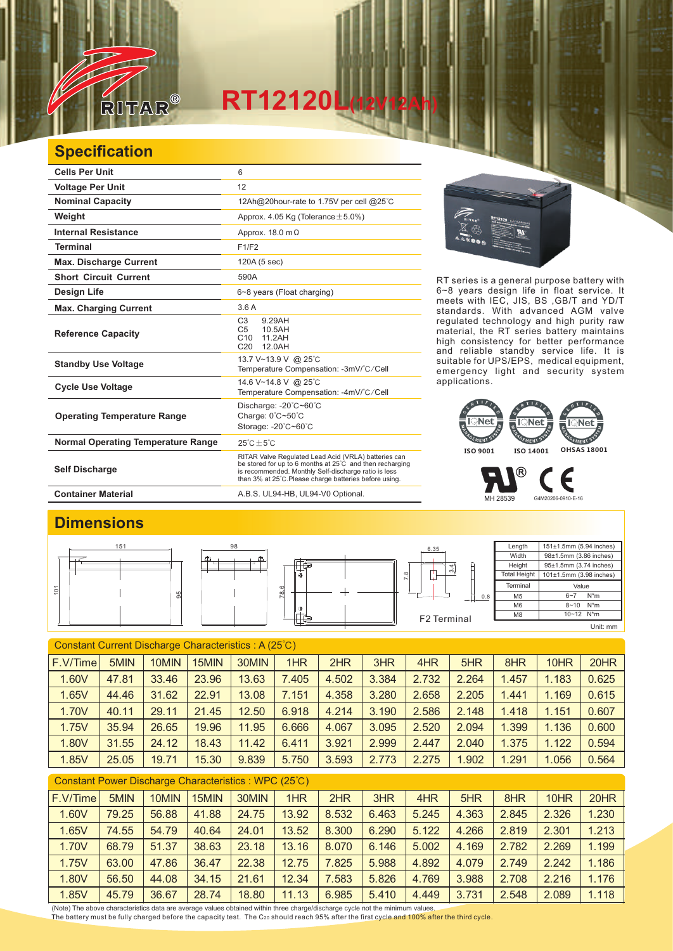

## **RT12120L(12V12Ah)**

## **Specification**

| <b>Cells Per Unit</b>                     | 6                                                                                                                                                                                                                                  |
|-------------------------------------------|------------------------------------------------------------------------------------------------------------------------------------------------------------------------------------------------------------------------------------|
| <b>Voltage Per Unit</b>                   | 12                                                                                                                                                                                                                                 |
| <b>Nominal Capacity</b>                   | 12Ah@20hour-rate to 1.75V per cell @25°C                                                                                                                                                                                           |
| Weight                                    | Approx. 4.05 Kg (Tolerance $\pm$ 5.0%)                                                                                                                                                                                             |
| <b>Internal Resistance</b>                | Approx. $18.0 \text{ m}\Omega$                                                                                                                                                                                                     |
| <b>Terminal</b>                           | F1/F2                                                                                                                                                                                                                              |
| <b>Max. Discharge Current</b>             | 120A (5 sec)                                                                                                                                                                                                                       |
| <b>Short Circuit Current</b>              | 590A                                                                                                                                                                                                                               |
| Design Life                               | 6~8 years (Float charging)                                                                                                                                                                                                         |
| <b>Max. Charging Current</b>              | 3.6A                                                                                                                                                                                                                               |
| <b>Reference Capacity</b>                 | C <sub>3</sub><br>9.29AH<br>C <sub>5</sub><br>10.5AH<br>11.2AH<br>C <sub>10</sub><br>12.0AH<br>C <sub>20</sub>                                                                                                                     |
| <b>Standby Use Voltage</b>                | 13.7 V~13.9 V @ 25°C<br>Temperature Compensation: -3mV/°C/Cell                                                                                                                                                                     |
| <b>Cycle Use Voltage</b>                  | 14.6 V~14.8 V @ 25°C<br>Temperature Compensation: -4mV/°C/Cell                                                                                                                                                                     |
| <b>Operating Temperature Range</b>        | Discharge: $-20^{\circ}$ C $-60^{\circ}$ C<br>Charge: 0°C~50°C<br>Storage: -20°C~60°C                                                                                                                                              |
| <b>Normal Operating Temperature Range</b> | $25^{\circ}$ C + 5 $^{\circ}$ C                                                                                                                                                                                                    |
| <b>Self Discharge</b>                     | RITAR Valve Regulated Lead Acid (VRLA) batteries can<br>be stored for up to 6 months at 25°C and then recharging<br>is recommended. Monthly Self-discharge ratio is less<br>than 3% at 25°C. Please charge batteries before using. |
| <b>Container Material</b>                 | A.B.S. UL94-HB, UL94-V0 Optional.                                                                                                                                                                                                  |





RT series is a general purpose battery with 6~8 years design life in float service. It meets with IEC, JIS, BS ,GB/T and YD/T standards. With advanced AGM valve regulated technology and high purity raw material, the RT series battery maintains high consistency for better performance

 $^\circledR$ F MH 28539 G4M20206-0910-E-16

## **Dimensions**

|   | 151 | 98        |                | 6.35                     | Length              | 151±1.5mm (5.94 inches)   |  |
|---|-----|-----------|----------------|--------------------------|---------------------|---------------------------|--|
|   |     | டி<br>--- |                |                          | Width               | 98±1.5mm (3.86 inches)    |  |
|   |     |           | -              | 4                        | Height              | 95±1.5mm (3.74 inches)    |  |
|   |     |           | $\circledcirc$ | നം<br>$\infty$<br>щ<br>∼ | <b>Total Height</b> | 101±1.5mm (3.98 inches)   |  |
| o |     |           | 0              |                          | Terminal            | Value                     |  |
|   |     |           | $\infty$<br>ĸ. | $+1$ 0.8                 | M <sub>5</sub>      | N*m<br>$6 - 7$            |  |
|   |     |           | $\Phi$         |                          | M <sub>6</sub>      | $8 - 10$ N <sup>*</sup> m |  |
|   |     |           |                | F2 Terminal              | M8                  | 10~12 N*m                 |  |
|   |     |           |                |                          |                     | Unit: mm                  |  |

| Constant Current Discharge Characteristics: A (25°C) |       |       |       |       |       |       |       |       |       |       |       |       |
|------------------------------------------------------|-------|-------|-------|-------|-------|-------|-------|-------|-------|-------|-------|-------|
| F.V/Time                                             | 5MIN  | 10MIN | 15MIN | 30MIN | 1HR   | 2HR   | 3HR   | 4HR   | 5HR   | 8HR   | 10HR  | 20HR  |
| 1.60V                                                | 47.81 | 33.46 | 23.96 | 13.63 | 7.405 | 4.502 | 3.384 | 2.732 | 2.264 | 1.457 | 1.183 | 0.625 |
| 1.65V                                                | 44.46 | 31.62 | 22.91 | 13.08 | 7.151 | 4.358 | 3.280 | 2.658 | 2.205 | 1.441 | 1.169 | 0.615 |
| 1.70V                                                | 40.11 | 29.11 | 21.45 | 12.50 | 6.918 | 4.214 | 3.190 | 2.586 | 2.148 | 1.418 | 1.151 | 0.607 |
| 1.75V                                                | 35.94 | 26.65 | 19.96 | 11.95 | 6.666 | 4.067 | 3.095 | 2.520 | 2.094 | 1.399 | 1.136 | 0.600 |
| 1.80V                                                | 31.55 | 24.12 | 18.43 | 11.42 | 6.411 | 3.921 | 2.999 | 2.447 | 2.040 | 1.375 | 1.122 | 0.594 |
| 1.85V                                                | 25.05 | 19.71 | 15.30 | 9.839 | 5.750 | 3.593 | 2.773 | 2.275 | 1.902 | 1.291 | 1.056 | 0.564 |
|                                                      |       |       |       |       |       |       |       |       |       |       |       |       |

| Constant Power Discharge Characteristics: WPC (25°C) |       |       |       |       |       |       |       |       |       |       |       |       |
|------------------------------------------------------|-------|-------|-------|-------|-------|-------|-------|-------|-------|-------|-------|-------|
| $ F.V/T$ ime                                         | 5MIN  | 10MIN | 15MIN | 30MIN | 1HR   | 2HR   | 3HR   | 4HR   | 5HR   | 8HR   | 10HR  | 20HR  |
| 1.60V                                                | 79.25 | 56.88 | 41.88 | 24.75 | 13.92 | 8.532 | 6.463 | 5.245 | 4.363 | 2.845 | 2.326 | 1.230 |
| 1.65V                                                | 74.55 | 54.79 | 40.64 | 24.01 | 13.52 | 8.300 | 6.290 | 5.122 | 4.266 | 2.819 | 2.301 | 1.213 |
| 1.70V                                                | 68.79 | 51.37 | 38.63 | 23.18 | 13.16 | 8.070 | 6.146 | 5.002 | 4.169 | 2.782 | 2.269 | 1.199 |
| 1.75V                                                | 63.00 | 47.86 | 36.47 | 22.38 | 12.75 | .825  | 5.988 | 4.892 | 4.079 | 2.749 | 2.242 | 1.186 |
| 1.80V                                                | 56.50 | 44.08 | 34.15 | 21.61 | 12.34 | .583  | 5.826 | 4.769 | 3.988 | 2.708 | 2.216 | 1.176 |
| 1.85V                                                | 45.79 | 36.67 | 28.74 | 18.80 | 11.13 | 6.985 | 5.410 | 4.449 | 3.731 | 2.548 | 2.089 | 1.118 |

(Note) The above characteristics data are average values obtained within three charge/discharge cycle not the minimum values.<br><u>T</u>he battery must be fully charged before the capacity test. The C20 should reach 95% after th